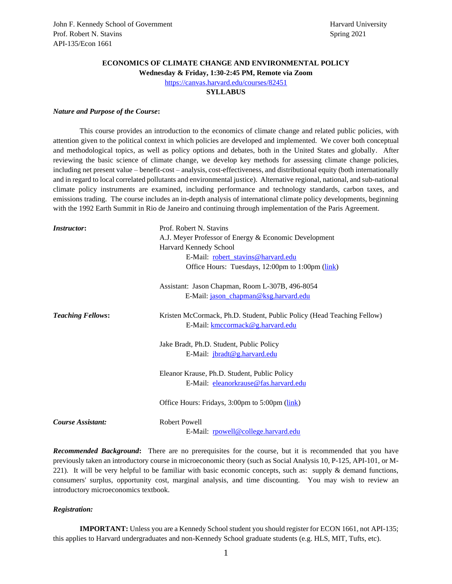# **ECONOMICS OF CLIMATE CHANGE AND ENVIRONMENTAL POLICY**

**Wednesday & Friday, 1:30-2:45 PM, Remote via Zoom**

<https://canvas.harvard.edu/courses/82451>

## **SYLLABUS**

## *Nature and Purpose of the Course***:**

This course provides an introduction to the economics of climate change and related public policies, with attention given to the political context in which policies are developed and implemented. We cover both conceptual and methodological topics, as well as policy options and debates, both in the United States and globally. After reviewing the basic science of climate change, we develop key methods for assessing climate change policies, including net present value – benefit-cost – analysis, cost-effectiveness, and distributional equity (both internationally and in regard to local correlated pollutants and environmental justice). Alternative regional, national, and sub-national climate policy instruments are examined, including performance and technology standards, carbon taxes, and emissions trading. The course includes an in-depth analysis of international climate policy developments, beginning with the 1992 Earth Summit in Rio de Janeiro and continuing through implementation of the Paris Agreement.

| <i>Instructor:</i>       | Prof. Robert N. Stavins                                                                                    |
|--------------------------|------------------------------------------------------------------------------------------------------------|
|                          | A.J. Meyer Professor of Energy & Economic Development                                                      |
|                          | Harvard Kennedy School                                                                                     |
|                          | E-Mail: robert_stavins@harvard.edu                                                                         |
|                          | Office Hours: Tuesdays, 12:00pm to 1:00pm (link)                                                           |
|                          | Assistant: Jason Chapman, Room L-307B, 496-8054                                                            |
|                          | E-Mail: jason chapman@ksg.harvard.edu                                                                      |
| <b>Teaching Fellows:</b> | Kristen McCormack, Ph.D. Student, Public Policy (Head Teaching Fellow)<br>E-Mail: kmccormack@g.harvard.edu |
|                          | Jake Bradt, Ph.D. Student, Public Policy<br>E-Mail: jbradt@g.harvard.edu                                   |
|                          | Eleanor Krause, Ph.D. Student, Public Policy<br>E-Mail: eleanorkrause@fas.harvard.edu                      |
|                          | Office Hours: Fridays, 3:00pm to 5:00pm (link)                                                             |
| Course Assistant:        | <b>Robert Powell</b><br>E-Mail: rpowell@college.harvard.edu                                                |

*Recommended Background***:** There are no prerequisites for the course, but it is recommended that you have previously taken an introductory course in microeconomic theory (such as Social Analysis 10, P-125, API-101, or M-221). It will be very helpful to be familiar with basic economic concepts, such as: supply  $\&$  demand functions, consumers' surplus, opportunity cost, marginal analysis, and time discounting. You may wish to review an introductory microeconomics textbook.

### *Registration:*

**IMPORTANT:** Unless you are a Kennedy School student you should register for ECON 1661, not API-135; this applies to Harvard undergraduates and non-Kennedy School graduate students (e.g. HLS, MIT, Tufts, etc).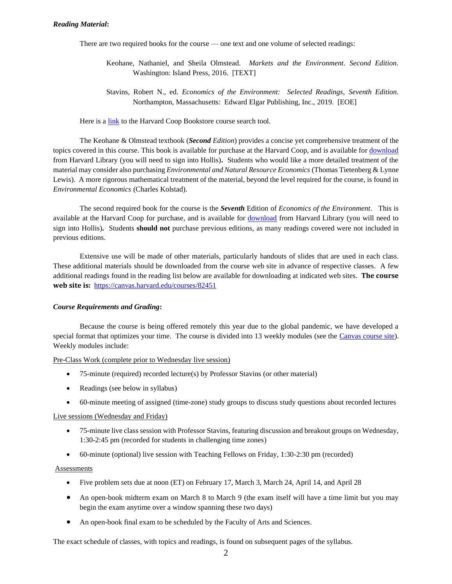## *Reading Material***:**

There are two required books for the course — one text and one volume of selected readings:

- Keohane, Nathaniel, and Sheila Olmstead. *Markets and the Environment. Second Edition.*  Washington: Island Press, 2016. [TEXT]
- Stavins, Robert N., ed. *Economics of the Environment: Selected Readings, Seventh Edition.* Northampton, Massachusetts: Edward Elgar Publishing, Inc., 2019. [EOE]

Here is a [link](https://harvardcoopbooks.bncollege.com/shop/harvard-coop-books/page/find-textbooks) to the Harvard Coop Bookstore course search tool.

The Keohane & Olmstead textbook (*Second Edition*) provides a concise yet comprehensive treatment of the topics covered in this course. This book is available for purchase at the Harvard Coop, and is available for [download](https://hollis.harvard.edu/primo-explore/fulldisplay?docid=01HVD_ALMA512247427140003941&context=L&vid=HVD2&search_scope=everything&tab=everything&lang=en_US) from Harvard Library (you will need to sign into Hollis)**.** Students who would like a more detailed treatment of the material may consider also purchasing *Environmental and Natural Resource Economics* (Thomas Tietenberg & Lynne Lewis). A more rigorous mathematical treatment of the material, beyond the level required for the course, is found in *Environmental Economics* (Charles Kolstad).

The second required book for the course is the *Seventh* Edition of *Economics of the Environment*. This is available at the Harvard Coop for purchase, and is available for [download](https://hollis.harvard.edu/primo-explore/fulldisplay?docid=01HVD_ALMA512469520980003941&context=L&vid=HVD2&search_scope=default_scope&tab=books&lang=en_US) from Harvard Library (you will need to sign into Hollis)**.** Students **should not** purchase previous editions, as many readings covered were not included in previous editions.

Extensive use will be made of other materials, particularly handouts of slides that are used in each class. These additional materials should be downloaded from the course web site in advance of respective classes. A few additional readings found in the reading list below are available for downloading at indicated web sites. **The course web site is:** <https://canvas.harvard.edu/courses/82451>

## *Course Requirements and Grading***:**

Because the course is being offered remotely this year due to the global pandemic, we have developed a special format that optimizes your time. The course is divided into 13 weekly modules (see the [Canvas course site\)](https://canvas.harvard.edu/courses/82451). Weekly modules include:

### Pre-Class Work (complete prior to Wednesday live session)

- 75-minute (required) recorded lecture(s) by Professor Stavins (or other material)
- Readings (see below in syllabus)
- 60-minute meeting of assigned (time-zone) study groups to discuss study questions about recorded lectures

### Live sessions (Wednesday and Friday)

- 75-minute live class session with Professor Stavins, featuring discussion and breakout groups on Wednesday, 1:30-2:45 pm (recorded for students in challenging time zones)
- 60-minute (optional) live session with Teaching Fellows on Friday, 1:30-2:30 pm (recorded)

### **Assessments**

- Five problem sets due at noon (ET) on February 17, March 3, March 24, April 14, and April 28
- An open-book midterm exam on March 8 to March 9 (the exam itself will have a time limit but you may begin the exam anytime over a window spanning these two days)
- An open-book final exam to be scheduled by the Faculty of Arts and Sciences.

The exact schedule of classes, with topics and readings, is found on subsequent pages of the syllabus.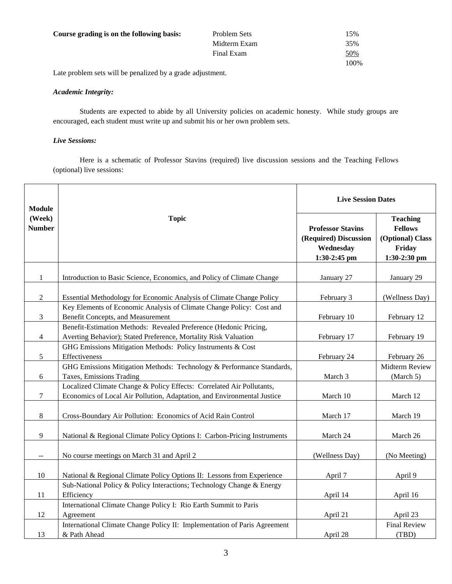| Course grading is on the following basis: | Problem Sets | 15%        |
|-------------------------------------------|--------------|------------|
|                                           | Midterm Exam | 35%        |
|                                           | Final Exam   | <u>50%</u> |
|                                           |              | 100%       |

Late problem sets will be penalized by a grade adjustment.

## *Academic Integrity:*

Students are expected to abide by all University policies on academic honesty. While study groups are encouraged, each student must write up and submit his or her own problem sets.

# *Live Sessions:*

Here is a schematic of Professor Stavins (required) live discussion sessions and the Teaching Fellows (optional) live sessions:

| <b>Module</b>           |                                                                                                                                                  | <b>Live Session Dates</b>                                                      |                                                                                 |
|-------------------------|--------------------------------------------------------------------------------------------------------------------------------------------------|--------------------------------------------------------------------------------|---------------------------------------------------------------------------------|
| (Week)<br><b>Number</b> | <b>Topic</b>                                                                                                                                     | <b>Professor Stavins</b><br>(Required) Discussion<br>Wednesday<br>1:30-2:45 pm | <b>Teaching</b><br><b>Fellows</b><br>(Optional) Class<br>Friday<br>1:30-2:30 pm |
| $\mathbf{1}$            | Introduction to Basic Science, Economics, and Policy of Climate Change                                                                           | January 27                                                                     | January 29                                                                      |
| $\overline{2}$          | Essential Methodology for Economic Analysis of Climate Change Policy                                                                             | February 3                                                                     | (Wellness Day)                                                                  |
| 3                       | Key Elements of Economic Analysis of Climate Change Policy: Cost and<br>Benefit Concepts, and Measurement                                        | February 10                                                                    | February 12                                                                     |
| 4                       | Benefit-Estimation Methods: Revealed Preference (Hedonic Pricing,<br>Averting Behavior); Stated Preference, Mortality Risk Valuation             | February 17                                                                    | February 19                                                                     |
| 5                       | GHG Emissions Mitigation Methods: Policy Instruments & Cost<br>Effectiveness                                                                     | February 24                                                                    | February 26                                                                     |
| 6                       | GHG Emissions Mitigation Methods: Technology & Performance Standards,<br>Taxes, Emissions Trading                                                | March 3                                                                        | Midterm Review<br>(March 5)                                                     |
| 7                       | Localized Climate Change & Policy Effects: Correlated Air Pollutants,<br>Economics of Local Air Pollution, Adaptation, and Environmental Justice | March 10                                                                       | March 12                                                                        |
| 8                       | Cross-Boundary Air Pollution: Economics of Acid Rain Control                                                                                     | March 17                                                                       | March 19                                                                        |
| 9                       | National & Regional Climate Policy Options I: Carbon-Pricing Instruments                                                                         | March 24                                                                       | March 26                                                                        |
| $\sim$ $\sim$           | No course meetings on March 31 and April 2                                                                                                       | (Wellness Day)                                                                 | (No Meeting)                                                                    |
| 10                      | National & Regional Climate Policy Options II: Lessons from Experience                                                                           | April 7                                                                        | April 9                                                                         |
| 11                      | Sub-National Policy & Policy Interactions; Technology Change & Energy<br>Efficiency                                                              | April 14                                                                       | April 16                                                                        |
| 12                      | International Climate Change Policy I: Rio Earth Summit to Paris<br>Agreement                                                                    | April 21                                                                       | April 23                                                                        |
| 13                      | International Climate Change Policy II: Implementation of Paris Agreement<br>& Path Ahead                                                        | April 28                                                                       | <b>Final Review</b><br>(TBD)                                                    |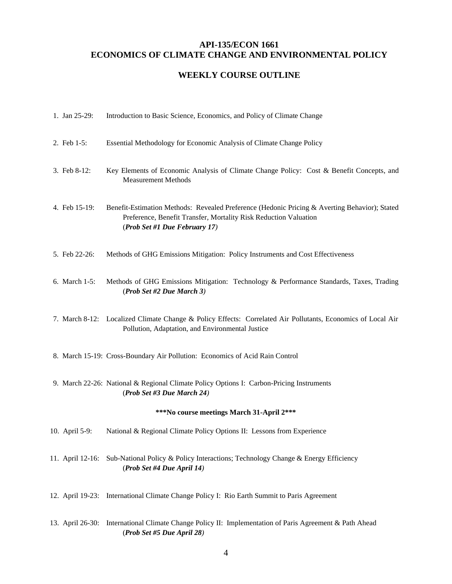# **API-135/ECON 1661 ECONOMICS OF CLIMATE CHANGE AND ENVIRONMENTAL POLICY**

# **WEEKLY COURSE OUTLINE**

|                                           | 1. Jan 25-29:  | Introduction to Basic Science, Economics, and Policy of Climate Change                                                                                                                             |  |  |
|-------------------------------------------|----------------|----------------------------------------------------------------------------------------------------------------------------------------------------------------------------------------------------|--|--|
|                                           | 2. Feb 1-5:    | Essential Methodology for Economic Analysis of Climate Change Policy                                                                                                                               |  |  |
|                                           | 3. Feb 8-12:   | Key Elements of Economic Analysis of Climate Change Policy: Cost & Benefit Concepts, and<br><b>Measurement Methods</b>                                                                             |  |  |
|                                           | 4. Feb 15-19:  | Benefit-Estimation Methods: Revealed Preference (Hedonic Pricing & Averting Behavior); Stated<br>Preference, Benefit Transfer, Mortality Risk Reduction Valuation<br>(Prob Set #1 Due February 17) |  |  |
|                                           | 5. Feb 22-26:  | Methods of GHG Emissions Mitigation: Policy Instruments and Cost Effectiveness                                                                                                                     |  |  |
|                                           | 6. March 1-5:  | Methods of GHG Emissions Mitigation: Technology & Performance Standards, Taxes, Trading<br>(Prob Set #2 Due March 3)                                                                               |  |  |
|                                           |                | 7. March 8-12: Localized Climate Change & Policy Effects: Correlated Air Pollutants, Economics of Local Air<br>Pollution, Adaptation, and Environmental Justice                                    |  |  |
|                                           |                | 8. March 15-19: Cross-Boundary Air Pollution: Economics of Acid Rain Control                                                                                                                       |  |  |
|                                           |                | 9. March 22-26: National & Regional Climate Policy Options I: Carbon-Pricing Instruments<br>(Prob Set #3 Due March 24)                                                                             |  |  |
| ***No course meetings March 31-April 2*** |                |                                                                                                                                                                                                    |  |  |
|                                           | 10. April 5-9: | National & Regional Climate Policy Options II: Lessons from Experience                                                                                                                             |  |  |
|                                           |                | 11. April 12-16: Sub-National Policy & Policy Interactions; Technology Change & Energy Efficiency<br>(Prob Set #4 Due April 14)                                                                    |  |  |
|                                           |                | 12. April 19-23: International Climate Change Policy I: Rio Earth Summit to Paris Agreement                                                                                                        |  |  |
|                                           |                | 13. April 26-30: International Climate Change Policy II: Implementation of Paris Agreement & Path Ahead                                                                                            |  |  |

(*Prob Set #5 Due April 28)*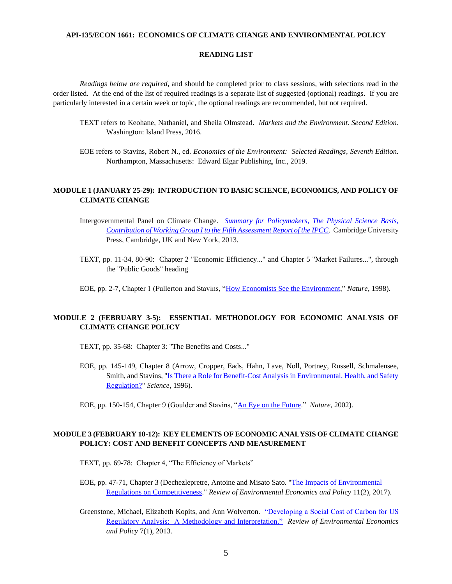### **API-135/ECON 1661: ECONOMICS OF CLIMATE CHANGE AND ENVIRONMENTAL POLICY**

### **READING LIST**

*Readings below are required*, and should be completed prior to class sessions, with selections read in the order listed. At the end of the list of required readings is a separate list of suggested (optional) readings. If you are particularly interested in a certain week or topic, the optional readings are recommended, but not required.

- TEXT refers to Keohane, Nathaniel, and Sheila Olmstead. *Markets and the Environment. Second Edition.*  Washington: Island Press, 2016.
- EOE refers to Stavins, Robert N., ed. *Economics of the Environment: Selected Readings, Seventh Edition.* Northampton, Massachusetts: Edward Elgar Publishing, Inc., 2019.

## **MODULE 1 (JANUARY 25-29): INTRODUCTION TO BASIC SCIENCE, ECONOMICS, AND POLICY OF CLIMATE CHANGE**

- Intergovernmental Panel on Climate Change. *[Summary for Policymakers, The Physical Science Basis,](https://www.ipcc.ch/site/assets/uploads/2018/02/WG1AR5_SPM_FINAL.pdf)  [Contribution of Working Group I to the Fifth Assessment Report of the IPCC](https://www.ipcc.ch/site/assets/uploads/2018/02/WG1AR5_SPM_FINAL.pdf)*. Cambridge University Press, Cambridge, UK and New York, 2013.
- TEXT, pp. 11-34, 80-90: Chapter 2 "Economic Efficiency..." and Chapter 5 "Market Failures...", through the "Public Goods" heading
- EOE, pp. 2-7, Chapter 1 (Fullerton and Stavins, ["How Economists See the Environment,](https://www.nature.com/articles/26606)" *Nature*, 1998).

# **MODULE 2 (FEBRUARY 3-5): ESSENTIAL METHODOLOGY FOR ECONOMIC ANALYSIS OF CLIMATE CHANGE POLICY**

- TEXT, pp. 35-68: Chapter 3: "The Benefits and Costs..."
- EOE, pp. 145-149, Chapter 8 (Arrow, Cropper, Eads, Hahn, Lave, Noll, Portney, Russell, Schmalensee, Smith, and Stavins, ["Is There a Role for Benefit-Cost Analysis in Environmental, Health, and Safety](https://search-proquest-com.ezp-prod1.hul.harvard.edu/docview/77972520?accountid=11311&pq-origsite=primo)  [Regulation?"](https://search-proquest-com.ezp-prod1.hul.harvard.edu/docview/77972520?accountid=11311&pq-origsite=primo) *Science*, 1996).

# **MODULE 3 (FEBRUARY 10-12): KEY ELEMENTS OF ECONOMIC ANALYSIS OF CLIMATE CHANGE POLICY: COST AND BENEFIT CONCEPTS AND MEASUREMENT**

TEXT, pp. 69-78: Chapter 4, "The Efficiency of Markets"

EOE, pp. 47-71, Chapter 3 (Dechezlepretre, Antoine and Misato Sato. ["The Impacts of Environmental](https://academic.oup.com/reep/article/11/2/183/4049468)  [Regulations on Competitiveness.](https://academic.oup.com/reep/article/11/2/183/4049468)" *Review of Environmental Economics and Policy* 11(2), 2017).

Greenstone, Michael, Elizabeth Kopits, and Ann Wolverton. ["Developing a Social Cost of Carbon for US](https://academic.oup.com/reep/article/7/1/23/1577964?searchresult=1)  [Regulatory Analysis: A Methodology and Interpretation."](https://academic.oup.com/reep/article/7/1/23/1577964?searchresult=1) *Review of Environmental Economics and Policy* 7(1), 2013.

EOE, pp. 150-154, Chapter 9 (Goulder and Stavins, ["An Eye on the Future.](https://www.nature.com/articles/419673a)" *Nature*, 2002).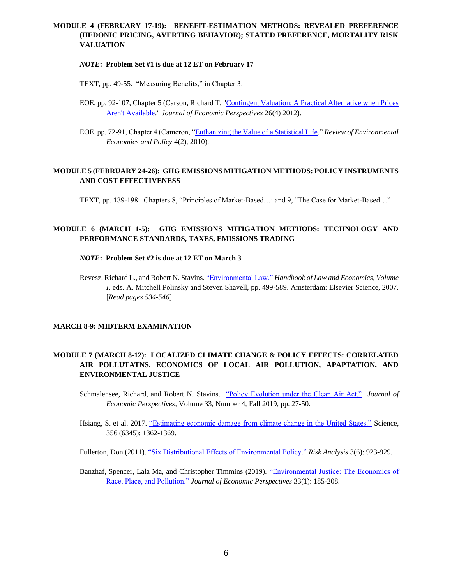# **MODULE 4 (FEBRUARY 17-19): BENEFIT-ESTIMATION METHODS: REVEALED PREFERENCE (HEDONIC PRICING, AVERTING BEHAVIOR); STATED PREFERENCE, MORTALITY RISK VALUATION**

## *NOTE***: Problem Set #1 is due at 12 ET on February 17**

TEXT, pp. 49-55. "Measuring Benefits," in Chapter 3.

- EOE, pp. 92-107, Chapter 5 (Carson, Richard T. ["Contingent Valuation: A Practical Alternative when Prices](https://libkey.io/libraries/215/articles/47563298/full-text-file)  [Aren't Available.](https://libkey.io/libraries/215/articles/47563298/full-text-file)" *Journal of Economic Perspectives* 26(4) 2012).
- EOE, pp. 72-91, Chapter 4 (Cameron, ["Euthanizing the Value of a Statistical Life.](https://academic-oup-com.ezp-prod1.hul.harvard.edu/reep/article/4/2/161/1572288)" *Review of Environmental Economics and Policy* 4(2), 2010).

## **MODULE 5 (FEBRUARY 24-26): GHG EMISSIONS MITIGATION METHODS: POLICY INSTRUMENTS AND COST EFFECTIVENESS**

TEXT, pp. 139-198: Chapters 8, "Principles of Market-Based…: and 9, "The Case for Market-Based…"

# **MODULE 6 (MARCH 1-5): GHG EMISSIONS MITIGATION METHODS: TECHNOLOGY AND PERFORMANCE STANDARDS, TAXES, EMISSIONS TRADING**

## *NOTE***: Problem Set #2 is due at 12 ET on March 3**

Revesz, Richard L., and Robert N. Stavins[. "Environmental Law."](https://www-sciencedirect-com.ezp-prod1.hul.harvard.edu/science/article/pii/S1574073007010080/pdfft?md5=f4d60411526bbba1c1578f735f925d60&pid=1-s2.0-S1574073007010080-main.pdf) *Handbook of Law and Economics, Volume I*, eds. A. Mitchell Polinsky and Steven Shavell, pp. 499-589. Amsterdam: Elsevier Science, 2007. [*Read pages 534-546*]

## **MARCH 8-9: MIDTERM EXAMINATION**

# **MODULE 7 (MARCH 8-12): LOCALIZED CLIMATE CHANGE & POLICY EFFECTS: CORRELATED AIR POLLUTATNS, ECONOMICS OF LOCAL AIR POLLUTION, APAPTATION, AND ENVIRONMENTAL JUSTICE**

Schmalensee, Richard, and Robert N. Stavins. ["Policy Evolution under the Clean Air Act."](https://pubs.aeaweb.org/doi/pdfplus/10.1257/jep.33.4.27) *Journal of Economic Perspectives*, Volume 33, Number 4, Fall 2019, pp. 27-50.

Hsiang, S. et al. 2017. ["Estimating economic damage from climate change in the United States."](https://urldefense.proofpoint.com/v2/url?u=https-3A__science.sciencemag.org_content_356_6345_1362&d=DwMFaQ&c=WO-RGvefibhHBZq3fL85hQ&r=6dpu10P2dV2rJHLj1XiN5ksKeZHEnenpzzJDNFVtmnY&m=2fQXhwYxSSLbquTVDqlhK6aqy6-V4OWiIO0UTeFV-Ug&s=tvDvDlWC5_sOiai_pPfExuZKGhftA9Fgx6X_HtgeOtQ&e=) Science, 356 (6345): 1362-1369.

Fullerton, Don (2011). ["Six Distributional Effects of Environmental Policy."](https://libkey.io/libraries/215/articles/24834175/full-text-file) *Risk Analysis* 3(6): 923-929.

Banzhaf, Spencer, Lala Ma, and Christopher Timmins (2019). ["Environmental Justice: The Economics of](https://libkey.io/libraries/215/articles/270297798/full-text-file)  [Race, Place, and Pollution."](https://libkey.io/libraries/215/articles/270297798/full-text-file) *Journal of Economic Perspectives* 33(1): 185-208.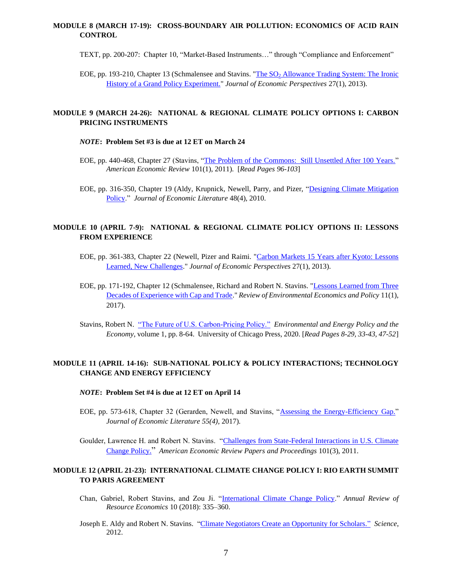# **MODULE 8 (MARCH 17-19): CROSS-BOUNDARY AIR POLLUTION: ECONOMICS OF ACID RAIN CONTROL**

TEXT, pp. 200-207: Chapter 10, "Market-Based Instruments…" through "Compliance and Enforcement"

EOE, pp. 193-210, Chapter 13 (Schmalensee and Stavins. "The SO<sub>2</sub> Allowance Trading System: The Ironic [History of a Grand Policy Experiment."](https://www.aeaweb.org/articles?id=10.1257/jep.27.1.103) *Journal of Economic Perspectives* 27(1), 2013).

## **MODULE 9 (MARCH 24-26): NATIONAL & REGIONAL CLIMATE POLICY OPTIONS I: CARBON PRICING INSTRUMENTS**

## *NOTE***: Problem Set #3 is due at 12 ET on March 24**

- EOE, pp. 440-468, Chapter 27 (Stavins, ["The Problem of the Commons: Still Unsettled After 100 Years."](https://www.aeaweb.org/articles?id=10.1257/aer.101.1.81) *American Economic Review* 101(1), 2011). [*Read Pages 96-103*]
- EOE, pp. 316-350, Chapter 19 (Aldy, Krupnick, Newell, Parry, and Pizer, ["Designing Climate Mitigation](https://www.aeaweb.org/articles?id=10.1257/jel.48.4.903)  [Policy.](https://www.aeaweb.org/articles?id=10.1257/jel.48.4.903)" *Journal of Economic Literature* 48(4), 2010.

## **MODULE 10 (APRIL 7-9): NATIONAL & REGIONAL CLIMATE POLICY OPTIONS II: LESSONS FROM EXPERIENCE**

- EOE, pp. 361-383, Chapter 22 (Newell, Pizer and Raimi. ["Carbon Markets 15 Years after Kyoto: Lessons](https://libkey.io/libraries/215/articles/47563314/full-text-file)  [Learned, New Challenges.](https://libkey.io/libraries/215/articles/47563314/full-text-file)" *Journal of Economic Perspectives* 27(1), 2013).
- EOE, pp. 171-192, Chapter 12 (Schmalensee, Richard and Robert N. Stavins. ["Lessons Learned from Three](https://academic.oup.com/reep/article/11/1/59/3066276)  [Decades of Experience with Cap and Trade.](https://academic.oup.com/reep/article/11/1/59/3066276)" *Review of Environmental Economics and Policy* 11(1), 2017).
- Stavins, Robert N. ["The Future of U.S. Carbon-Pricing Policy."](https://scholar.harvard.edu/files/stavins/files/stavins_eepe_2020_journal_article.pdf) *Environmental and Energy Policy and the Economy*, volume 1, pp. 8-64. University of Chicago Press, 2020. [*Read Pages 8-29, 33-43, 47-52*]

# **MODULE 11 (APRIL 14-16): SUB-NATIONAL POLICY & POLICY INTERACTIONS; TECHNOLOGY CHANGE AND ENERGY EFFICIENCY**

- *NOTE***: Problem Set #4 is due at 12 ET on April 14**
- EOE, pp. 573-618, Chapter 32 (Gerarden, Newell, and Stavins, ["Assessing the Energy-Efficiency Gap."](https://pubs.aeaweb.org/doi/pdf/10.1257/jel.20161360) *Journal of Economic Literature 55(4)*, 2017).

Goulder, Lawrence H. and Robert N. Stavins. ["Challenges from State-Federal Interactions in U.S. Climate](https://scholar.harvard.edu/files/stavins/files/goulderstavinsaerpapersproceedings.pdf)  [Change Policy.](https://scholar.harvard.edu/files/stavins/files/goulderstavinsaerpapersproceedings.pdf)" *American Economic Review Papers and Proceedings* 101(3), 2011.

# **MODULE 12 (APRIL 21-23): INTERNATIONAL CLIMATE CHANGE POLICY I: RIO EARTH SUMMIT TO PARIS AGREEMENT**

- Chan, Gabriel, Robert Stavins, and Zou Ji. ["International Climate Change Policy.](https://scholar.harvard.edu/files/stavins/files/chan_stavins_zou_ji_annual_review_article_2018_002.pdf)" *Annual Review of Resource Economics* 10 (2018): 335–360.
- Joseph E. Aldy and Robert N. Stavins. ["Climate Negotiators Create an Opportunity for Scholars."](http://www.sciencemag.org/content/337/6098/1043.full.pdf?keytype=ref&siteid=sci&ijkey=MiUluRr82ZoxY) *Science*, 2012.